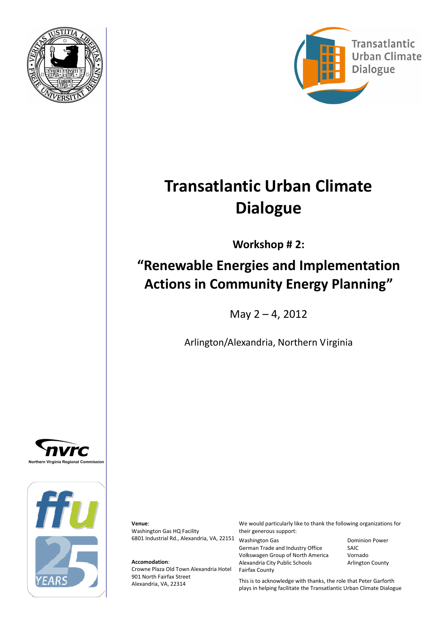



# **Transatlantic Urban Climate Dialogue**

**Workshop # 2:** 

## **"Renewable Energies and Implementation Actions in Community Energy Planning"**

May 2 – 4, 2012

Arlington/Alexandria, Northern Virginia





**Venue**: Washington Gas HQ Facility 6801 Industrial Rd., Alexandria, VA, 22151

**Accomodation**:

Crowne Plaza Old Town Alexandria Hotel 901 North Fairfax Street Alexandria, VA, 22314

We would particularly like to thank the following organizations for their generous support:

Washington Gas **Dominion Power** German Trade and Industry Office SAIC Volkswagen Group of North America Vornado Alexandria City Public Schools **Arlington County** Fairfax County

This is to acknowledge with thanks, the role that Peter Garforth plays in helping facilitate the Transatlantic Urban Climate Dialogue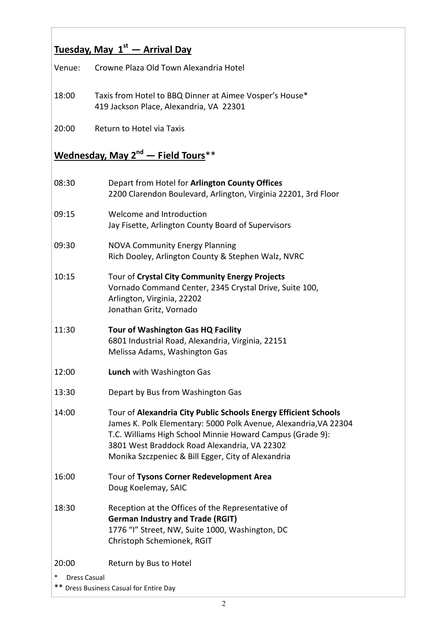## **Tuesday, May 1st — Arrival Day**

| Venue:                                         | Crowne Plaza Old Town Alexandria Hotel                                                                                                                                                                                                                                                                 |  |
|------------------------------------------------|--------------------------------------------------------------------------------------------------------------------------------------------------------------------------------------------------------------------------------------------------------------------------------------------------------|--|
| 18:00                                          | Taxis from Hotel to BBQ Dinner at Aimee Vosper's House*<br>419 Jackson Place, Alexandria, VA 22301                                                                                                                                                                                                     |  |
| 20:00                                          | Return to Hotel via Taxis                                                                                                                                                                                                                                                                              |  |
| Wednesday, May 2 <sup>nd</sup> - Field Tours** |                                                                                                                                                                                                                                                                                                        |  |
| 08:30                                          | Depart from Hotel for Arlington County Offices<br>2200 Clarendon Boulevard, Arlington, Virginia 22201, 3rd Floor                                                                                                                                                                                       |  |
| 09:15                                          | Welcome and Introduction<br>Jay Fisette, Arlington County Board of Supervisors                                                                                                                                                                                                                         |  |
| 09:30                                          | <b>NOVA Community Energy Planning</b><br>Rich Dooley, Arlington County & Stephen Walz, NVRC                                                                                                                                                                                                            |  |
| 10:15                                          | Tour of Crystal City Community Energy Projects<br>Vornado Command Center, 2345 Crystal Drive, Suite 100,<br>Arlington, Virginia, 22202<br>Jonathan Gritz, Vornado                                                                                                                                      |  |
| 11:30                                          | <b>Tour of Washington Gas HQ Facility</b><br>6801 Industrial Road, Alexandria, Virginia, 22151<br>Melissa Adams, Washington Gas                                                                                                                                                                        |  |
| 12:00                                          | Lunch with Washington Gas                                                                                                                                                                                                                                                                              |  |
| 13:30                                          | Depart by Bus from Washington Gas                                                                                                                                                                                                                                                                      |  |
| 14:00                                          | Tour of Alexandria City Public Schools Energy Efficient Schools<br>James K. Polk Elementary: 5000 Polk Avenue, Alexandria, VA 22304<br>T.C. Williams High School Minnie Howard Campus (Grade 9):<br>3801 West Braddock Road Alexandria, VA 22302<br>Monika Szczpeniec & Bill Egger, City of Alexandria |  |
| 16:00                                          | Tour of Tysons Corner Redevelopment Area<br>Doug Koelemay, SAIC                                                                                                                                                                                                                                        |  |
| 18:30                                          | Reception at the Offices of the Representative of<br><b>German Industry and Trade (RGIT)</b><br>1776 "I" Street, NW, Suite 1000, Washington, DC<br>Christoph Schemionek, RGIT                                                                                                                          |  |
| 20:00                                          | Return by Bus to Hotel                                                                                                                                                                                                                                                                                 |  |
| *<br><b>Dress Casual</b><br>**                 | Dress Business Casual for Entire Day                                                                                                                                                                                                                                                                   |  |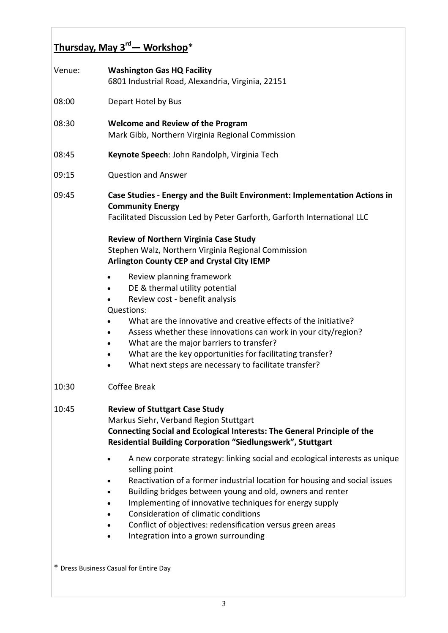#### **Thursday, May 3rd— Workshop**\*

| Venue: | <b>Washington Gas HQ Facility</b><br>6801 Industrial Road, Alexandria, Virginia, 22151                                                                                                                                                                                                                                                                                                                                                                        |
|--------|---------------------------------------------------------------------------------------------------------------------------------------------------------------------------------------------------------------------------------------------------------------------------------------------------------------------------------------------------------------------------------------------------------------------------------------------------------------|
| 08:00  | Depart Hotel by Bus                                                                                                                                                                                                                                                                                                                                                                                                                                           |
| 08:30  | <b>Welcome and Review of the Program</b><br>Mark Gibb, Northern Virginia Regional Commission                                                                                                                                                                                                                                                                                                                                                                  |
| 08:45  | Keynote Speech: John Randolph, Virginia Tech                                                                                                                                                                                                                                                                                                                                                                                                                  |
| 09:15  | <b>Question and Answer</b>                                                                                                                                                                                                                                                                                                                                                                                                                                    |
| 09:45  | Case Studies - Energy and the Built Environment: Implementation Actions in<br><b>Community Energy</b><br>Facilitated Discussion Led by Peter Garforth, Garforth International LLC                                                                                                                                                                                                                                                                             |
|        | <b>Review of Northern Virginia Case Study</b><br>Stephen Walz, Northern Virginia Regional Commission<br><b>Arlington County CEP and Crystal City IEMP</b>                                                                                                                                                                                                                                                                                                     |
|        | Review planning framework<br>٠<br>DE & thermal utility potential<br>$\bullet$<br>Review cost - benefit analysis<br>Questions:<br>What are the innovative and creative effects of the initiative?<br>Assess whether these innovations can work in your city/region?<br>$\bullet$<br>What are the major barriers to transfer?<br>What are the key opportunities for facilitating transfer?<br>٠<br>What next steps are necessary to facilitate transfer?        |
| 10:30  | <b>Coffee Break</b>                                                                                                                                                                                                                                                                                                                                                                                                                                           |
| 10:45  | <b>Review of Stuttgart Case Study</b><br>Markus Siehr, Verband Region Stuttgart<br>Connecting Social and Ecological Interests: The General Principle of the<br>Residential Building Corporation "Siedlungswerk", Stuttgart                                                                                                                                                                                                                                    |
|        | A new corporate strategy: linking social and ecological interests as unique<br>selling point<br>Reactivation of a former industrial location for housing and social issues<br>Building bridges between young and old, owners and renter<br>Implementing of innovative techniques for energy supply<br>Consideration of climatic conditions<br>Conflict of objectives: redensification versus green areas<br>Integration into a grown surrounding<br>$\bullet$ |
|        | * Dress Business Casual for Entire Day                                                                                                                                                                                                                                                                                                                                                                                                                        |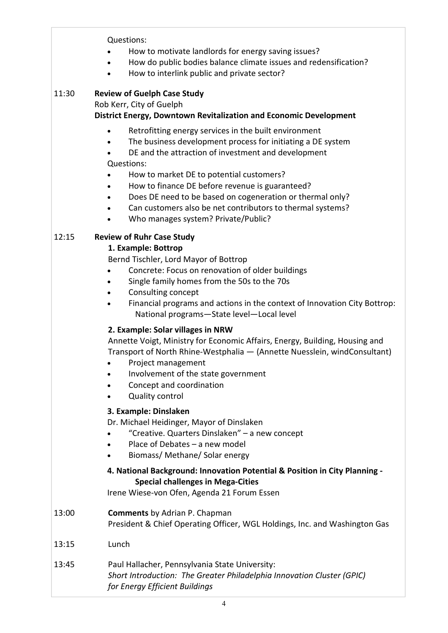Questions:

- How to motivate landlords for energy saving issues?
- How do public bodies balance climate issues and redensification?
- 

#### • How to interlink public and private sector? 11:30 **Review of Guelph Case Study** Rob Kerr, City of Guelph **District Energy, Downtown Revitalization and Economic Development**  Retrofitting energy services in the built environment • The business development process for initiating a DE system • DE and the attraction of investment and development Questions: • How to market DE to potential customers? • How to finance DE before revenue is guaranteed? • Does DE need to be based on cogeneration or thermal only? • Can customers also be net contributors to thermal systems? • Who manages system? Private/Public? 12:15 **Review of Ruhr Case Study 1. Example: Bottrop** Bernd Tischler, Lord Mayor of Bottrop • Concrete: Focus on renovation of older buildings • Single family homes from the 50s to the 70s • Consulting concept • Financial programs and actions in the context of Innovation City Bottrop: National programs—State level—Local level **2. Example: Solar villages in NRW**  Annette Voigt, Ministry for Economic Affairs, Energy, Building, Housing and Transport of North Rhine-Westphalia — (Annette Nuesslein, windConsultant) • Project management • Involvement of the state government • Concept and coordination • Quality control **3. Example: Dinslaken**  Dr. Michael Heidinger, Mayor of Dinslaken • "Creative. Quarters Dinslaken" – a new concept • Place of Debates – a new model • Biomass/ Methane/ Solar energy **4. National Background: Innovation Potential & Position in City Planning - Special challenges in Mega-Cities**  Irene Wiese-von Ofen, Agenda 21 Forum Essen 13:00 **Comments** by Adrian P. Chapman President & Chief Operating Officer, WGL Holdings, Inc. and Washington Gas 13:15 Lunch 13:45 Paul Hallacher, Pennsylvania State University:

 *Short Introduction: The Greater Philadelphia Innovation Cluster (GPIC) for Energy Efficient Buildings*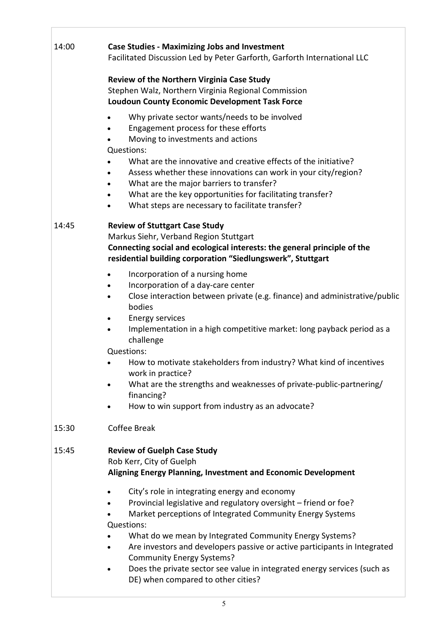| 14:00 | <b>Case Studies - Maximizing Jobs and Investment</b><br>Facilitated Discussion Led by Peter Garforth, Garforth International LLC                                                                                                                                                                                                                                                                                                                                                                                         |
|-------|--------------------------------------------------------------------------------------------------------------------------------------------------------------------------------------------------------------------------------------------------------------------------------------------------------------------------------------------------------------------------------------------------------------------------------------------------------------------------------------------------------------------------|
|       | <b>Review of the Northern Virginia Case Study</b><br>Stephen Walz, Northern Virginia Regional Commission<br><b>Loudoun County Economic Development Task Force</b>                                                                                                                                                                                                                                                                                                                                                        |
|       | Why private sector wants/needs to be involved<br>$\bullet$<br>Engagement process for these efforts<br>$\bullet$<br>Moving to investments and actions<br>Questions:<br>What are the innovative and creative effects of the initiative?<br>Assess whether these innovations can work in your city/region?<br>$\bullet$<br>What are the major barriers to transfer?<br>$\bullet$<br>What are the key opportunities for facilitating transfer?<br>$\bullet$<br>What steps are necessary to facilitate transfer?<br>$\bullet$ |
| 14:45 | <b>Review of Stuttgart Case Study</b><br>Markus Siehr, Verband Region Stuttgart<br>Connecting social and ecological interests: the general principle of the<br>residential building corporation "Siedlungswerk", Stuttgart                                                                                                                                                                                                                                                                                               |
|       | Incorporation of a nursing home<br>$\bullet$<br>Incorporation of a day-care center<br>$\bullet$<br>Close interaction between private (e.g. finance) and administrative/public<br>$\bullet$<br>bodies                                                                                                                                                                                                                                                                                                                     |
|       | <b>Energy services</b><br>$\bullet$<br>Implementation in a high competitive market: long payback period as a<br>$\bullet$<br>challenge                                                                                                                                                                                                                                                                                                                                                                                   |
|       | Questions:<br>How to motivate stakeholders from industry? What kind of incentives<br>work in practice?                                                                                                                                                                                                                                                                                                                                                                                                                   |
|       | What are the strengths and weaknesses of private-public-partnering/<br>financing?<br>How to win support from industry as an advocate?                                                                                                                                                                                                                                                                                                                                                                                    |
| 15:30 | <b>Coffee Break</b>                                                                                                                                                                                                                                                                                                                                                                                                                                                                                                      |
| 15:45 | <b>Review of Guelph Case Study</b><br>Rob Kerr, City of Guelph<br>Aligning Energy Planning, Investment and Economic Development                                                                                                                                                                                                                                                                                                                                                                                          |
|       | City's role in integrating energy and economy<br>Provincial legislative and regulatory oversight - friend or foe?<br>Market perceptions of Integrated Community Energy Systems<br>Questions:<br>What do we mean by Integrated Community Energy Systems?                                                                                                                                                                                                                                                                  |
|       | Are investors and developers passive or active participants in Integrated<br><b>Community Energy Systems?</b><br>Does the private sector see value in integrated energy services (such as<br>DE) when compared to other cities?                                                                                                                                                                                                                                                                                          |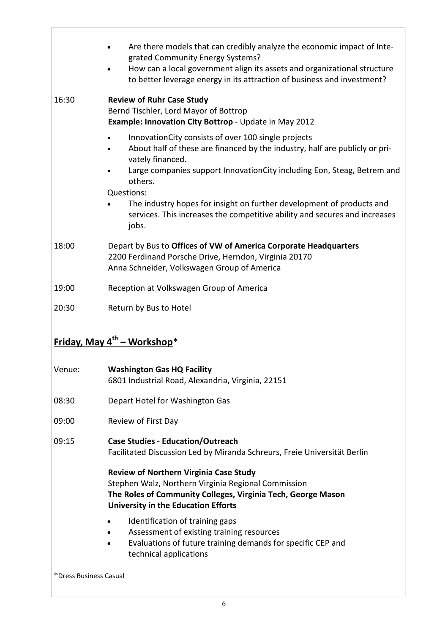|                        | Are there models that can credibly analyze the economic impact of Inte-<br>$\bullet$<br>grated Community Energy Systems?<br>How can a local government align its assets and organizational structure<br>$\bullet$<br>to better leverage energy in its attraction of business and investment?                                                                                                                                                         |
|------------------------|------------------------------------------------------------------------------------------------------------------------------------------------------------------------------------------------------------------------------------------------------------------------------------------------------------------------------------------------------------------------------------------------------------------------------------------------------|
| 16:30                  | <b>Review of Ruhr Case Study</b><br>Bernd Tischler, Lord Mayor of Bottrop<br>Example: Innovation City Bottrop - Update in May 2012                                                                                                                                                                                                                                                                                                                   |
|                        | InnovationCity consists of over 100 single projects<br>$\bullet$<br>About half of these are financed by the industry, half are publicly or pri-<br>$\bullet$<br>vately financed.<br>Large companies support InnovationCity including Eon, Steag, Betrem and<br>others.<br>Questions:<br>The industry hopes for insight on further development of products and<br>services. This increases the competitive ability and secures and increases<br>jobs. |
| 18:00                  | Depart by Bus to Offices of VW of America Corporate Headquarters<br>2200 Ferdinand Porsche Drive, Herndon, Virginia 20170<br>Anna Schneider, Volkswagen Group of America                                                                                                                                                                                                                                                                             |
| 19:00                  | Reception at Volkswagen Group of America                                                                                                                                                                                                                                                                                                                                                                                                             |
| 20:30                  | Return by Bus to Hotel                                                                                                                                                                                                                                                                                                                                                                                                                               |
|                        | Friday, May 4 <sup>th</sup> - Workshop*                                                                                                                                                                                                                                                                                                                                                                                                              |
| Venue:                 | <b>Washington Gas HQ Facility</b><br>6801 Industrial Road, Alexandria, Virginia, 22151                                                                                                                                                                                                                                                                                                                                                               |
| 08:30                  | Depart Hotel for Washington Gas                                                                                                                                                                                                                                                                                                                                                                                                                      |
| 09:00                  | Review of First Day                                                                                                                                                                                                                                                                                                                                                                                                                                  |
| 09:15                  | <b>Case Studies - Education/Outreach</b><br>Facilitated Discussion Led by Miranda Schreurs, Freie Universität Berlin                                                                                                                                                                                                                                                                                                                                 |
|                        | <b>Review of Northern Virginia Case Study</b><br>Stephen Walz, Northern Virginia Regional Commission<br>The Roles of Community Colleges, Virginia Tech, George Mason<br><b>University in the Education Efforts</b>                                                                                                                                                                                                                                   |
|                        | Identification of training gaps<br>٠<br>Assessment of existing training resources<br>Evaluations of future training demands for specific CEP and<br>technical applications                                                                                                                                                                                                                                                                           |
| *Dress Business Casual |                                                                                                                                                                                                                                                                                                                                                                                                                                                      |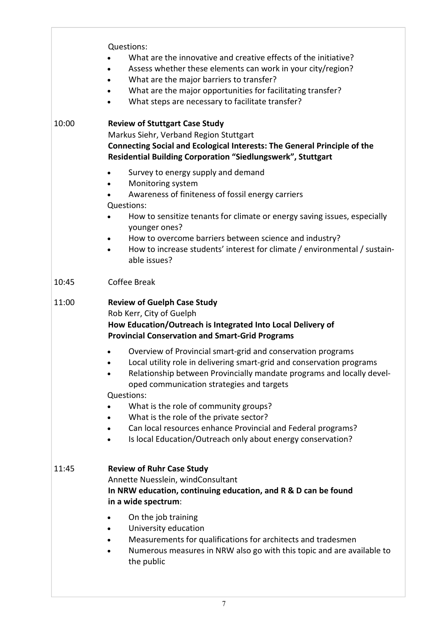|       | Questions:<br>What are the innovative and creative effects of the initiative?<br>Assess whether these elements can work in your city/region?<br>What are the major barriers to transfer?<br>What are the major opportunities for facilitating transfer?<br>What steps are necessary to facilitate transfer?                                                                                                                                                                                 |
|-------|---------------------------------------------------------------------------------------------------------------------------------------------------------------------------------------------------------------------------------------------------------------------------------------------------------------------------------------------------------------------------------------------------------------------------------------------------------------------------------------------|
| 10:00 | <b>Review of Stuttgart Case Study</b><br>Markus Siehr, Verband Region Stuttgart<br>Connecting Social and Ecological Interests: The General Principle of the<br>Residential Building Corporation "Siedlungswerk", Stuttgart                                                                                                                                                                                                                                                                  |
|       | Survey to energy supply and demand<br>Monitoring system<br>$\bullet$<br>Awareness of finiteness of fossil energy carriers<br>Questions:<br>How to sensitize tenants for climate or energy saving issues, especially<br>younger ones?<br>How to overcome barriers between science and industry?<br>How to increase students' interest for climate / environmental / sustain-<br>able issues?                                                                                                 |
| 10:45 | <b>Coffee Break</b>                                                                                                                                                                                                                                                                                                                                                                                                                                                                         |
| 11:00 | <b>Review of Guelph Case Study</b><br>Rob Kerr, City of Guelph<br>How Education/Outreach is Integrated Into Local Delivery of<br><b>Provincial Conservation and Smart-Grid Programs</b>                                                                                                                                                                                                                                                                                                     |
|       | Overview of Provincial smart-grid and conservation programs<br>Local utility role in delivering smart-grid and conservation programs<br>Relationship between Provincially mandate programs and locally devel-<br>oped communication strategies and targets<br>Questions:<br>What is the role of community groups?<br>What is the role of the private sector?<br>Can local resources enhance Provincial and Federal programs?<br>Is local Education/Outreach only about energy conservation? |
| 11:45 | <b>Review of Ruhr Case Study</b><br>Annette Nuesslein, windConsultant<br>In NRW education, continuing education, and R & D can be found<br>in a wide spectrum:                                                                                                                                                                                                                                                                                                                              |
|       | On the job training<br>University education<br>Measurements for qualifications for architects and tradesmen<br>Numerous measures in NRW also go with this topic and are available to<br>$\bullet$<br>the public                                                                                                                                                                                                                                                                             |